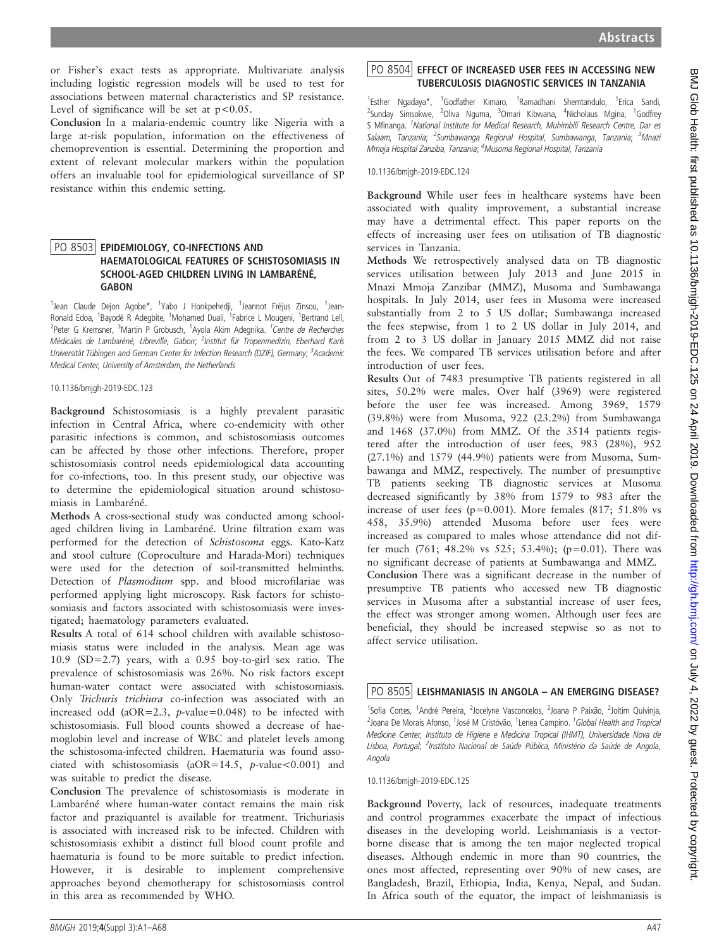or Fisher's exact tests as appropriate. Multivariate analysis including logistic regression models will be used to test for associations between maternal characteristics and SP resistance. Level of significance will be set at  $p < 0.05$ .

Conclusion In a malaria-endemic country like Nigeria with a large at-risk population, information on the effectiveness of chemoprevention is essential. Determining the proportion and extent of relevant molecular markers within the population offers an invaluable tool for epidemiological surveillance of SP resistance within this endemic setting.

## PO 8503 EPIDEMIOLOGY, CO-INFECTIONS AND<br>HAEMATOLOGICAL FEATURES OF SCHISTOSOMIASIS IN SCHOOL-AGED CHILDREN LIVING IN LAMBARÉNÉ, GABON

1<br><sup>1</sup>Jean Claude Dejon Agobe\*, <sup>1</sup>Yabo J Honkpehedji, <sup>1</sup>Jeannot Fréjus Zinsou, <sup>1</sup>Jean-Ronald Edoa, <sup>1</sup>Bayodé R Adegbite, <sup>1</sup>Mohamed Duali, <sup>1</sup>Fabrice L Mougeni, <sup>1</sup>Bertrand Lell, <sup>2</sup>Peter G Kremsner, <sup>3</sup>Martin P Grobusch, <sup>1</sup>Ayola Akim Adegnika. <sup>*1 Centre de Recherches*</sup> Médicales de Lambaréné, Libreville, Gabon; <sup>2</sup>Institut für Tropenmedizin, Eberhard Karls Universität Tübingen and German Center for Infection Research (DZIF), Germany; <sup>3</sup>Academic Medical Center, University of Amsterdam, the Netherlands

10.1136/bmjgh-2019-EDC.123

Background Schistosomiasis is a highly prevalent parasitic infection in Central Africa, where co-endemicity with other parasitic infections is common, and schistosomiasis outcomes can be affected by those other infections. Therefore, proper schistosomiasis control needs epidemiological data accounting for co-infections, too. In this present study, our objective was to determine the epidemiological situation around schistosomiasis in Lambaréné.

Methods A cross-sectional study was conducted among schoolaged children living in Lambaréné. Urine filtration exam was performed for the detection of Schistosoma eggs. Kato-Katz and stool culture (Coproculture and Harada-Mori) techniques were used for the detection of soil-transmitted helminths. Detection of Plasmodium spp. and blood microfilariae was performed applying light microscopy. Risk factors for schistosomiasis and factors associated with schistosomiasis were investigated; haematology parameters evaluated.

Results A total of 614 school children with available schistosomiasis status were included in the analysis. Mean age was 10.9 (SD=2.7) years, with a 0.95 boy-to-girl sex ratio. The prevalence of schistosomiasis was 26%. No risk factors except human-water contact were associated with schistosomiasis. Only Trichuris trichiura co-infection was associated with an increased odd ( $aOR=2.3$ ,  $p$ -value=0.048) to be infected with schistosomiasis. Full blood counts showed a decrease of haemoglobin level and increase of WBC and platelet levels among the schistosoma-infected children. Haematuria was found associated with schistosomiasis (aOR=14.5,  $p$ -value<0.001) and was suitable to predict the disease.

Conclusion The prevalence of schistosomiasis is moderate in Lambaréné where human-water contact remains the main risk factor and praziquantel is available for treatment. Trichuriasis is associated with increased risk to be infected. Children with schistosomiasis exhibit a distinct full blood count profile and haematuria is found to be more suitable to predict infection. However, it is desirable to implement comprehensive approaches beyond chemotherapy for schistosomiasis control in this area as recommended by WHO.

1<br>Esther Ngadaya\*, <sup>1</sup>Godfather Kimaro, <sup>1</sup>Ramadhani Shemtandulo, <sup>1</sup>Erica Sandi,<br><sup>2</sup>Sunday Simsokwe, <sup>2</sup>Oliva Nguma, <sup>3</sup>Omari Kibwana, <sup>4</sup>Nicholaus Mgina, <sup>1</sup>Godfrey S Mfinanga. <sup>1</sup>National Institute for Medical Research, Muhimbili Research Centre, Dar es Salaam, Tanzania; <sup>2</sup>Sumbawanga Regional Hospital, Sumbawanga, Tanzania; <sup>3</sup>Mnazi Mmoja Hospital Zanziba, Tanzania; <sup>4</sup>Musoma Regional Hospital, Tanzania

10.1136/bmjgh-2019-EDC.124

Background While user fees in healthcare systems have been associated with quality improvement, a substantial increase may have a detrimental effect. This paper reports on the effects of increasing user fees on utilisation of TB diagnostic services in Tanzania.

Methods We retrospectively analysed data on TB diagnostic services utilisation between July 2013 and June 2015 in Mnazi Mmoja Zanzibar (MMZ), Musoma and Sumbawanga hospitals. In July 2014, user fees in Musoma were increased substantially from 2 to 5 US dollar; Sumbawanga increased the fees stepwise, from 1 to 2 US dollar in July 2014, and from 2 to 3 US dollar in January 2015 MMZ did not raise the fees. We compared TB services utilisation before and after introduction of user fees.

Results Out of 7483 presumptive TB patients registered in all sites, 50.2% were males. Over half (3969) were registered before the user fee was increased. Among 3969, 1579 (39.8%) were from Musoma, 922 (23.2%) from Sumbawanga and 1468 (37.0%) from MMZ. Of the 3514 patients registered after the introduction of user fees, 983 (28%), 952 (27.1%) and 1579 (44.9%) patients were from Musoma, Sumbawanga and MMZ, respectively. The number of presumptive TB patients seeking TB diagnostic services at Musoma decreased significantly by 38% from 1579 to 983 after the increase of user fees ( $p=0.001$ ). More females (817; 51.8% vs 458, 35.9%) attended Musoma before user fees were increased as compared to males whose attendance did not differ much  $(761; 48.2\% \text{ vs } 525; 53.4\%); (p=0.01).$  There was no significant decrease of patients at Sumbawanga and MMZ. Conclusion There was a significant decrease in the number of presumptive TB patients who accessed new TB diagnostic services in Musoma after a substantial increase of user fees, the effect was stronger among women. Although user fees are beneficial, they should be increased stepwise so as not to affect service utilisation.

## PO 8505 LEISHMANIASIS IN ANGOLA - AN EMERGING DISEASE?

<sup>1</sup>Sofia Cortes, <sup>1</sup>André Pereira, <sup>2</sup>Jocelyne Vasconcelos, <sup>2</sup>Joana P Paixão, <sup>2</sup>Joltim Quivinja, <sup>2</sup>Joana De Morais Afonso, <sup>1</sup>José M Cristóvão, <sup>1</sup>Lenea Campino. <sup>1</sup>Global Health and Tropical Medicine Center, Instituto de Higiene e Medicina Tropical (IHMT), Universidade Nova de Lisboa, Portugal; <sup>2</sup>Instituto Nacional de Saúde Pública, Ministério da Saúde de Angola, Angola

10.1136/bmjgh-2019-EDC.125

Background Poverty, lack of resources, inadequate treatments and control programmes exacerbate the impact of infectious diseases in the developing world. Leishmaniasis is a vectorborne disease that is among the ten major neglected tropical diseases. Although endemic in more than 90 countries, the ones most affected, representing over 90% of new cases, are Bangladesh, Brazil, Ethiopia, India, Kenya, Nepal, and Sudan. In Africa south of the equator, the impact of leishmaniasis is